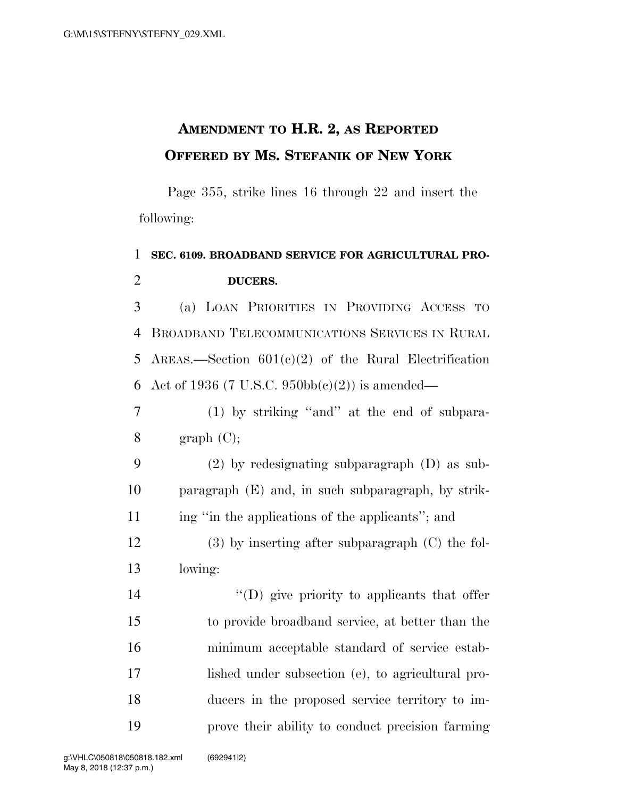## **AMENDMENT TO H.R. 2, AS REPORTED OFFERED BY MS. STEFANIK OF NEW YORK**

Page 355, strike lines 16 through 22 and insert the following:

## 1 **SEC. 6109. BROADBAND SERVICE FOR AGRICULTURAL PRO-**2 **DUCERS.**

3 (a) LOAN PRIORITIES IN PROVIDING ACCESS TO 4 BROADBAND TELECOMMUNICATIONS SERVICES IN RURAL 5 AREAS.—Section  $601(c)(2)$  of the Rural Electrification 6 Act of 1936 (7 U.S.C. 950bb(c)(2)) is amended—

7 (1) by striking ''and'' at the end of subpara-8  $\qquad \qquad$  graph (C);

9 (2) by redesignating subparagraph (D) as sub-10 paragraph (E) and, in such subparagraph, by strik-11 ing "in the applications of the applicants"; and

12 (3) by inserting after subparagraph (C) the fol-13 lowing:

 ''(D) give priority to applicants that offer to provide broadband service, at better than the minimum acceptable standard of service estab- lished under subsection (e), to agricultural pro- ducers in the proposed service territory to im-prove their ability to conduct precision farming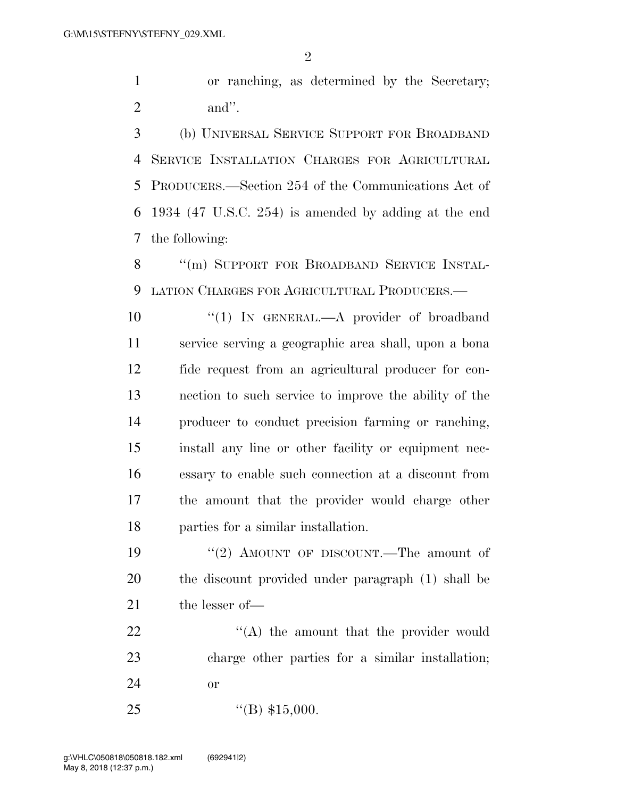or ranching, as determined by the Secretary; and''.

 (b) UNIVERSAL SERVICE SUPPORT FOR BROADBAND SERVICE INSTALLATION CHARGES FOR AGRICULTURAL PRODUCERS.—Section 254 of the Communications Act of 1934 (47 U.S.C. 254) is amended by adding at the end the following:

8 "(m) SUPPORT FOR BROADBAND SERVICE INSTAL-LATION CHARGES FOR AGRICULTURAL PRODUCERS.—

10 "(1) IN GENERAL.—A provider of broadband service serving a geographic area shall, upon a bona fide request from an agricultural producer for con- nection to such service to improve the ability of the producer to conduct precision farming or ranching, install any line or other facility or equipment nec- essary to enable such connection at a discount from the amount that the provider would charge other parties for a similar installation.

19 ''(2) AMOUNT OF DISCOUNT.—The amount of the discount provided under paragraph (1) shall be 21 the lesser of —

22  $\langle (A)$  the amount that the provider would charge other parties for a similar installation; or

25  $"({\rm B})$  \$15,000.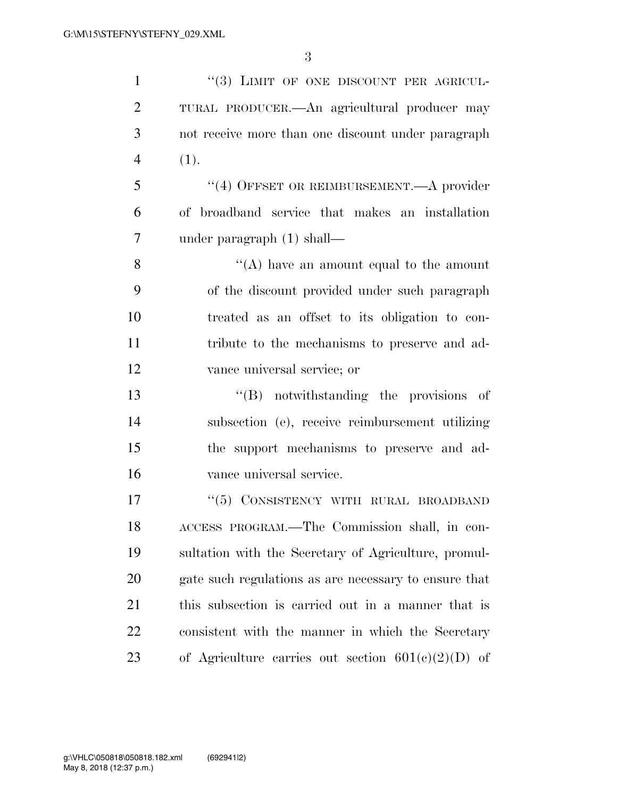| $\mathbf{1}$   | "(3) LIMIT OF ONE DISCOUNT PER AGRICUL-               |
|----------------|-------------------------------------------------------|
| $\overline{2}$ | TURAL PRODUCER.—An agricultural producer may          |
| 3              | not receive more than one discount under paragraph    |
| $\overline{4}$ | (1).                                                  |
| 5              | "(4) OFFSET OR REIMBURSEMENT.—A provider              |
| 6              | of broadband service that makes an installation       |
| 7              | under paragraph $(1)$ shall—                          |
| 8              | "(A) have an amount equal to the amount               |
| 9              | of the discount provided under such paragraph         |
| 10             | treated as an offset to its obligation to con-        |
| 11             | tribute to the mechanisms to preserve and ad-         |
| 12             | vance universal service; or                           |
| 13             | $\lq\lq(B)$ notwithstanding the provisions of         |
| 14             | subsection (e), receive reimbursement utilizing       |
| 15             | the support mechanisms to preserve and ad-            |
| 16             | vance universal service.                              |
| 17             | "(5) CONSISTENCY WITH RURAL BROADBAND                 |
| 18             | ACCESS PROGRAM.—The Commission shall, in con-         |
| 19             | sultation with the Secretary of Agriculture, promul-  |
| 20             | gate such regulations as are necessary to ensure that |
| 21             | this subsection is carried out in a manner that is    |
| 22             | consistent with the manner in which the Secretary     |
| 23             | of Agriculture carries out section $601(c)(2)(D)$ of  |